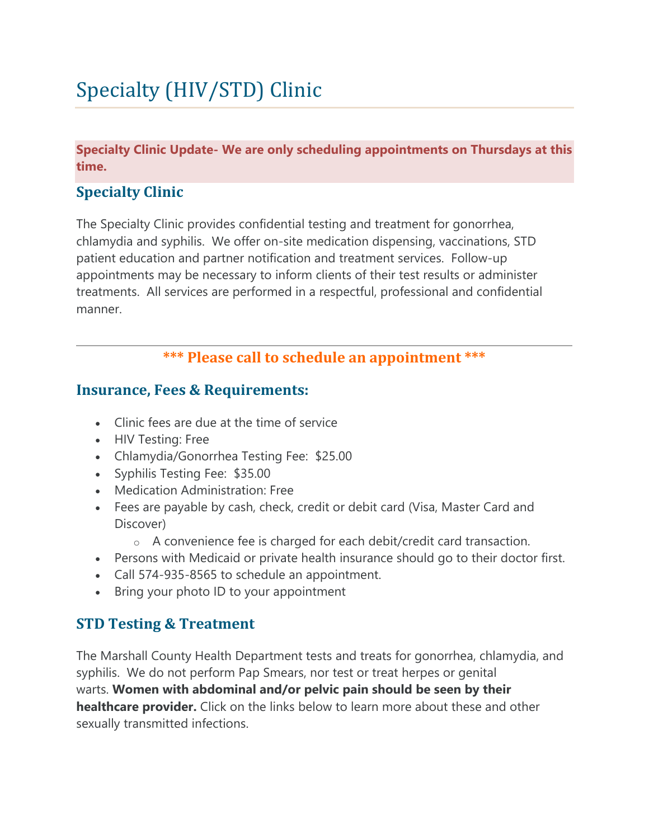# Specialty (HIV/STD) Clinic

**Specialty Clinic Update- We are only scheduling appointments on Thursdays at this time.**

# **Specialty Clinic**

The Specialty Clinic provides confidential testing and treatment for gonorrhea, chlamydia and syphilis. We offer on-site medication dispensing, vaccinations, STD patient education and partner notification and treatment services. Follow-up appointments may be necessary to inform clients of their test results or administer treatments. All services are performed in a respectful, professional and confidential manner.

### **\*\*\* Please call to schedule an appointment \*\*\***

#### **Insurance, Fees & Requirements:**

- Clinic fees are due at the time of service
- HIV Testing: Free
- Chlamydia/Gonorrhea Testing Fee: \$25.00
- Syphilis Testing Fee: \$35.00
- Medication Administration: Free
- Fees are payable by cash, check, credit or debit card (Visa, Master Card and Discover)
	- o A convenience fee is charged for each debit/credit card transaction.
- Persons with Medicaid or private health insurance should go to their doctor first.
- Call 574-935-8565 to schedule an appointment.
- Bring your photo ID to your appointment

# **STD Testing & Treatment**

The Marshall County Health Department tests and treats for gonorrhea, chlamydia, and syphilis. We do not perform Pap Smears, nor test or treat herpes or genital warts. **Women with abdominal and/or pelvic pain should be seen by their healthcare provider.** Click on the links below to learn more about these and other sexually transmitted infections.